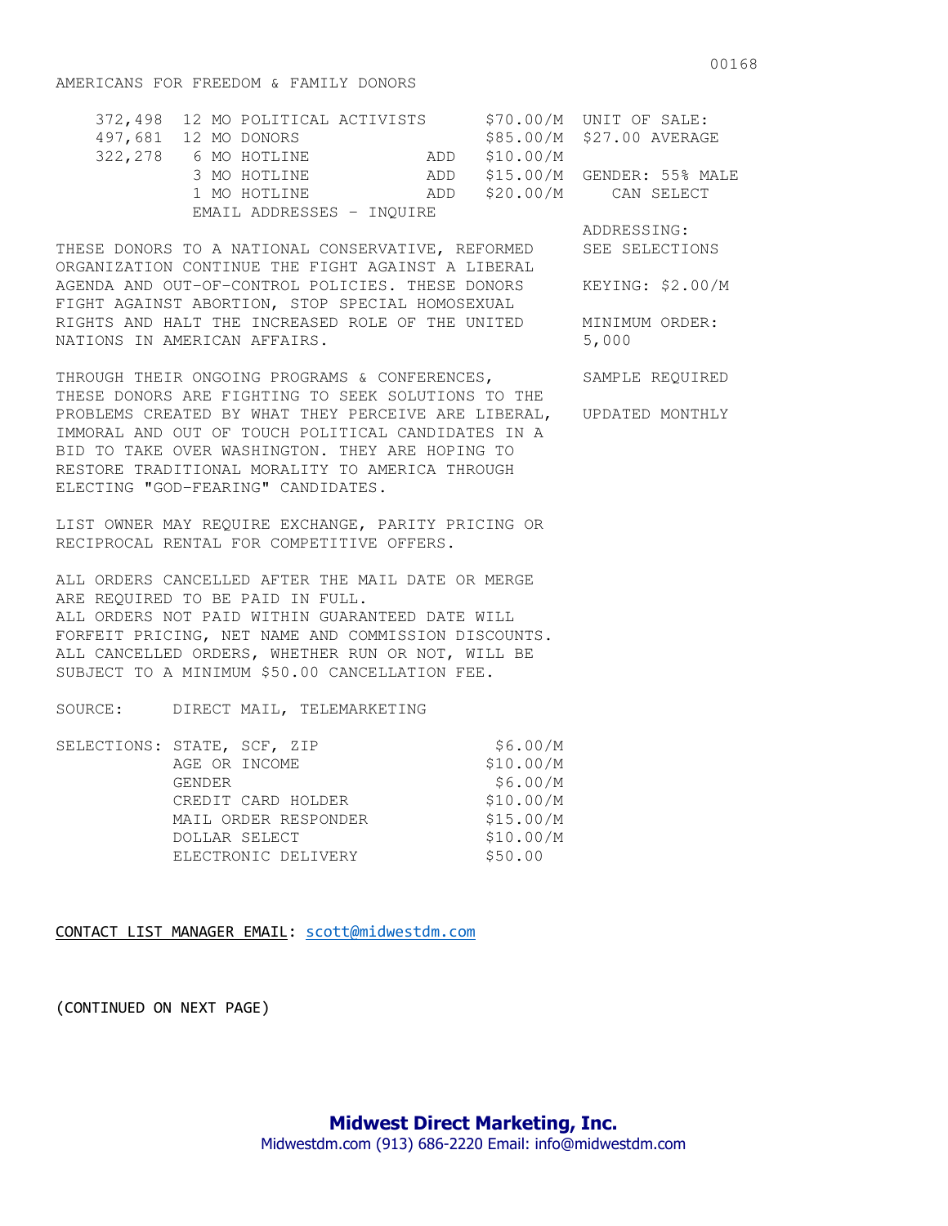## AMERICANS FOR FREEDOM & FAMILY DONORS

| 372,498 12 MO POLITICAL ACTIVISTS |  |               | $$70.00/M$ UNIT OF SALE:       |
|-----------------------------------|--|---------------|--------------------------------|
| 497,681 12 MO DONORS              |  |               | \$85.00/M \$27.00 AVERAGE      |
| 322,278 6 MO HOTLINE              |  | ADD \$10.00/M |                                |
| 3 MO HOTLINE                      |  |               | ADD \$15.00/M GENDER: 55% MALE |
| 1 MO HOTLINE                      |  |               | ADD \$20.00/M CAN SELECT       |
| EMAIL ADDRESSES - INOUIRE         |  |               |                                |

THESE DONORS TO A NATIONAL CONSERVATIVE, REFORMED SEE SELECTIONS ORGANIZATION CONTINUE THE FIGHT AGAINST A LIBERAL AGENDA AND OUT-OF-CONTROL POLICIES. THESE DONORS KEYING: \$2.00/M FIGHT AGAINST ABORTION, STOP SPECIAL HOMOSEXUAL RIGHTS AND HALT THE INCREASED ROLE OF THE UNITED MINIMUM ORDER: NATIONS IN AMERICAN AFFAIRS. 5,000

THROUGH THEIR ONGOING PROGRAMS & CONFERENCES, SAMPLE REQUIRED THESE DONORS ARE FIGHTING TO SEEK SOLUTIONS TO THE PROBLEMS CREATED BY WHAT THEY PERCEIVE ARE LIBERAL, UPDATED MONTHLY IMMORAL AND OUT OF TOUCH POLITICAL CANDIDATES IN A BID TO TAKE OVER WASHINGTON. THEY ARE HOPING TO RESTORE TRADITIONAL MORALITY TO AMERICA THROUGH ELECTING "GOD-FEARING" CANDIDATES.

LIST OWNER MAY REQUIRE EXCHANGE, PARITY PRICING OR RECIPROCAL RENTAL FOR COMPETITIVE OFFERS.

ALL ORDERS CANCELLED AFTER THE MAIL DATE OR MERGE ARE REQUIRED TO BE PAID IN FULL. ALL ORDERS NOT PAID WITHIN GUARANTEED DATE WILL FORFEIT PRICING, NET NAME AND COMMISSION DISCOUNTS. ALL CANCELLED ORDERS, WHETHER RUN OR NOT, WILL BE SUBJECT TO A MINIMUM \$50.00 CANCELLATION FEE.

SOURCE: DIRECT MAIL, TELEMARKETING

| SELECTIONS: STATE, SCF, ZIP | \$6.00/M  |
|-----------------------------|-----------|
| AGE OR INCOME               | \$10.00/M |
| GENDER                      | \$6.00/M  |
| CREDIT CARD HOLDER          | \$10.00/M |
| MAIL ORDER RESPONDER        | \$15.00/M |
| DOLLAR SELECT               | \$10.00/M |
| ELECTRONIC DELIVERY         | \$50.00   |
|                             |           |

CONTACT LIST MANAGER EMAIL: scott@midwestdm.com

(CONTINUED ON NEXT PAGE)

ADDRESSING: